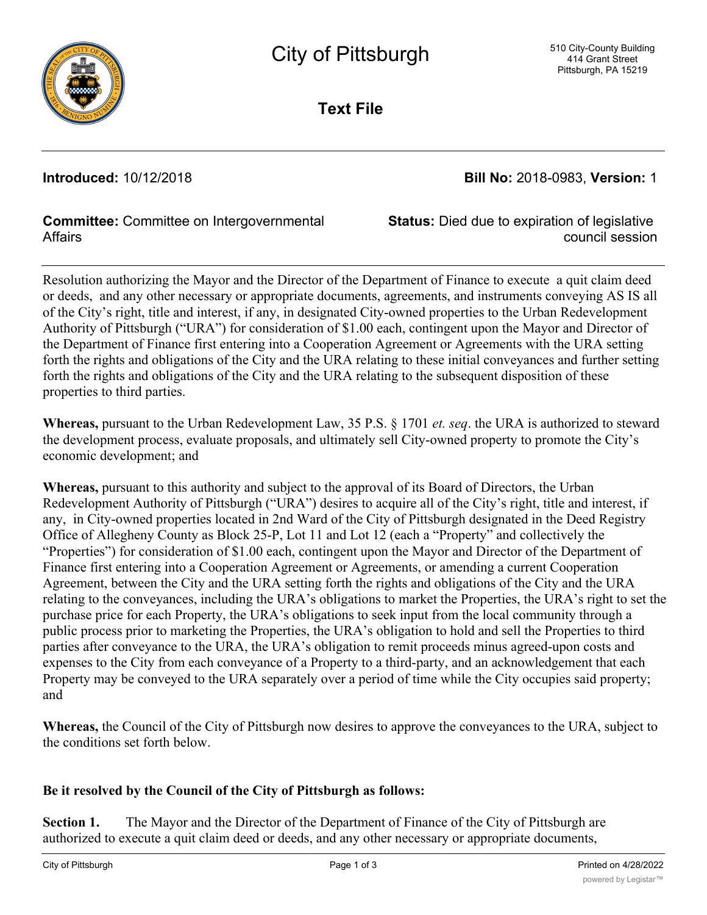

**Text File**

**Introduced:** 10/12/2018 **Bill No:** 2018-0983, **Version:** 1

### **Committee:** Committee on Intergovernmental **Affairs**

**Status:** Died due to expiration of legislative council session

Resolution authorizing the Mayor and the Director of the Department of Finance to execute a quit claim deed or deeds, and any other necessary or appropriate documents, agreements, and instruments conveying AS IS all of the City's right, title and interest, if any, in designated City-owned properties to the Urban Redevelopment Authority of Pittsburgh ("URA") for consideration of \$1.00 each, contingent upon the Mayor and Director of the Department of Finance first entering into a Cooperation Agreement or Agreements with the URA setting forth the rights and obligations of the City and the URA relating to these initial conveyances and further setting forth the rights and obligations of the City and the URA relating to the subsequent disposition of these properties to third parties.

**Whereas,** pursuant to the Urban Redevelopment Law, 35 P.S. § 1701 *et. seq*. the URA is authorized to steward the development process, evaluate proposals, and ultimately sell City-owned property to promote the City's economic development; and

**Whereas,** pursuant to this authority and subject to the approval of its Board of Directors, the Urban Redevelopment Authority of Pittsburgh ("URA") desires to acquire all of the City's right, title and interest, if any, in City-owned properties located in 2nd Ward of the City of Pittsburgh designated in the Deed Registry Office of Allegheny County as Block 25-P, Lot 11 and Lot 12 (each a "Property" and collectively the "Properties") for consideration of \$1.00 each, contingent upon the Mayor and Director of the Department of Finance first entering into a Cooperation Agreement or Agreements, or amending a current Cooperation Agreement, between the City and the URA setting forth the rights and obligations of the City and the URA relating to the conveyances, including the URA's obligations to market the Properties, the URA's right to set the purchase price for each Property, the URA's obligations to seek input from the local community through a public process prior to marketing the Properties, the URA's obligation to hold and sell the Properties to third parties after conveyance to the URA, the URA's obligation to remit proceeds minus agreed-upon costs and expenses to the City from each conveyance of a Property to a third-party, and an acknowledgement that each Property may be conveyed to the URA separately over a period of time while the City occupies said property; and

**Whereas,** the Council of the City of Pittsburgh now desires to approve the conveyances to the URA, subject to the conditions set forth below.

## **Be it resolved by the Council of the City of Pittsburgh as follows:**

**Section 1.** The Mayor and the Director of the Department of Finance of the City of Pittsburgh are authorized to execute a quit claim deed or deeds, and any other necessary or appropriate documents,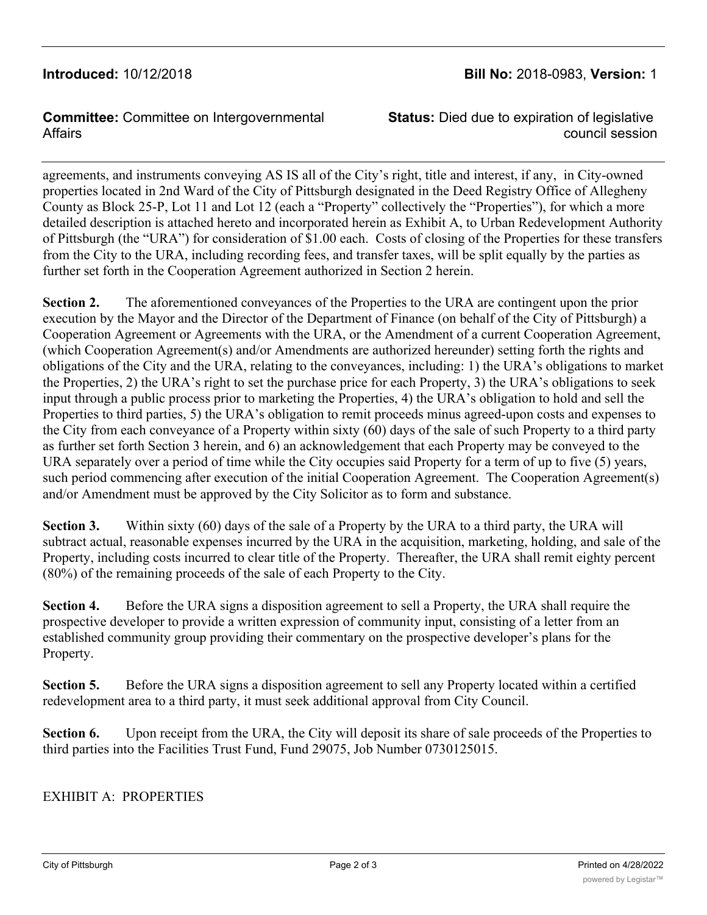### **Introduced:** 10/12/2018 **Bill No:** 2018-0983, **Version:** 1

**Committee:** Committee on Intergovernmental **Affairs** 

**Status:** Died due to expiration of legislative council session

agreements, and instruments conveying AS IS all of the City's right, title and interest, if any, in City-owned properties located in 2nd Ward of the City of Pittsburgh designated in the Deed Registry Office of Allegheny County as Block 25-P, Lot 11 and Lot 12 (each a "Property" collectively the "Properties"), for which a more detailed description is attached hereto and incorporated herein as Exhibit A, to Urban Redevelopment Authority of Pittsburgh (the "URA") for consideration of \$1.00 each. Costs of closing of the Properties for these transfers from the City to the URA, including recording fees, and transfer taxes, will be split equally by the parties as further set forth in the Cooperation Agreement authorized in Section 2 herein.

**Section 2.** The aforementioned conveyances of the Properties to the URA are contingent upon the prior execution by the Mayor and the Director of the Department of Finance (on behalf of the City of Pittsburgh) a Cooperation Agreement or Agreements with the URA, or the Amendment of a current Cooperation Agreement, (which Cooperation Agreement(s) and/or Amendments are authorized hereunder) setting forth the rights and obligations of the City and the URA, relating to the conveyances, including: 1) the URA's obligations to market the Properties, 2) the URA's right to set the purchase price for each Property, 3) the URA's obligations to seek input through a public process prior to marketing the Properties, 4) the URA's obligation to hold and sell the Properties to third parties, 5) the URA's obligation to remit proceeds minus agreed-upon costs and expenses to the City from each conveyance of a Property within sixty (60) days of the sale of such Property to a third party as further set forth Section 3 herein, and 6) an acknowledgement that each Property may be conveyed to the URA separately over a period of time while the City occupies said Property for a term of up to five (5) years, such period commencing after execution of the initial Cooperation Agreement. The Cooperation Agreement(s) and/or Amendment must be approved by the City Solicitor as to form and substance.

**Section 3.** Within sixty (60) days of the sale of a Property by the URA to a third party, the URA will subtract actual, reasonable expenses incurred by the URA in the acquisition, marketing, holding, and sale of the Property, including costs incurred to clear title of the Property. Thereafter, the URA shall remit eighty percent (80%) of the remaining proceeds of the sale of each Property to the City.

**Section 4.** Before the URA signs a disposition agreement to sell a Property, the URA shall require the prospective developer to provide a written expression of community input, consisting of a letter from an established community group providing their commentary on the prospective developer's plans for the Property.

**Section 5.** Before the URA signs a disposition agreement to sell any Property located within a certified redevelopment area to a third party, it must seek additional approval from City Council.

**Section 6.** Upon receipt from the URA, the City will deposit its share of sale proceeds of the Properties to third parties into the Facilities Trust Fund, Fund 29075, Job Number 0730125015.

#### EXHIBIT A: PROPERTIES